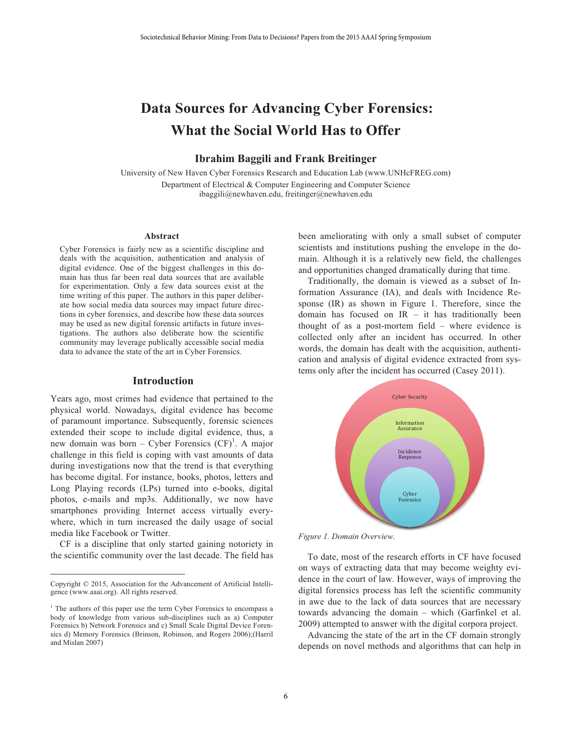# **Data Sources for Advancing Cyber Forensics: What the Social World Has to Offer**

## **Ibrahim Baggili and Frank Breitinger**

University of New Haven Cyber Forensics Research and Education Lab (www.UNHcFREG.com) Department of Electrical & Computer Engineering and Computer Science ibaggili@newhaven.edu, freitinger@newhaven.edu

#### **Abstract**

Cyber Forensics is fairly new as a scientific discipline and deals with the acquisition, authentication and analysis of digital evidence. One of the biggest challenges in this domain has thus far been real data sources that are available for experimentation. Only a few data sources exist at the time writing of this paper. The authors in this paper deliberate how social media data sources may impact future directions in cyber forensics, and describe how these data sources may be used as new digital forensic artifacts in future investigations. The authors also deliberate how the scientific community may leverage publically accessible social media data to advance the state of the art in Cyber Forensics.

#### **Introduction**

Years ago, most crimes had evidence that pertained to the physical world. Nowadays, digital evidence has become of paramount importance. Subsequently, forensic sciences extended their scope to include digital evidence, thus, a new domain was born – Cyber Forensics  $(CF)^{1}$ . A major challenge in this field is coping with vast amounts of data during investigations now that the trend is that everything has become digital. For instance, books, photos, letters and Long Playing records (LPs) turned into e-books, digital photos, e-mails and mp3s. Additionally, we now have smartphones providing Internet access virtually everywhere, which in turn increased the daily usage of social media like Facebook or Twitter.

 CF is a discipline that only started gaining notoriety in the scientific community over the last decade. The field has

 $\overline{a}$ 

been ameliorating with only a small subset of computer scientists and institutions pushing the envelope in the domain. Although it is a relatively new field, the challenges and opportunities changed dramatically during that time.

 Traditionally, the domain is viewed as a subset of Information Assurance (IA), and deals with Incidence Response (IR) as shown in Figure 1. Therefore, since the domain has focused on  $IR - it$  has traditionally been thought of as a post-mortem field – where evidence is collected only after an incident has occurred. In other words, the domain has dealt with the acquisition, authentication and analysis of digital evidence extracted from systems only after the incident has occurred (Casey 2011).



*Figure 1. Domain Overview.* 

 To date, most of the research efforts in CF have focused on ways of extracting data that may become weighty evidence in the court of law. However, ways of improving the digital forensics process has left the scientific community in awe due to the lack of data sources that are necessary towards advancing the domain – which (Garfinkel et al. 2009) attempted to answer with the digital corpora project.

 Advancing the state of the art in the CF domain strongly depends on novel methods and algorithms that can help in

Copyright © 2015, Association for the Advancement of Artificial Intelligence (www.aaai.org). All rights reserved.

<sup>&</sup>lt;sup>1</sup> The authors of this paper use the term Cyber Forensics to encompass a body of knowledge from various sub-disciplines such as a) Computer Forensics b) Network Forensics and c) Small Scale Digital Device Forensics d) Memory Forensics (Brinson, Robinson, and Rogers 2006);(Harril and Mislan 2007)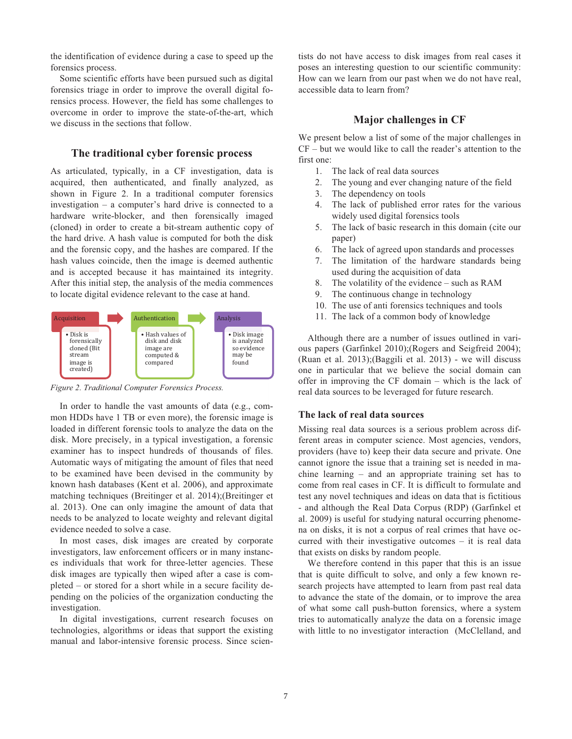the identification of evidence during a case to speed up the forensics process.

Some scientific efforts have been pursued such as digital forensics triage in order to improve the overall digital forensics process. However, the field has some challenges to overcome in order to improve the state-of-the-art, which we discuss in the sections that follow.

## **The traditional cyber forensic process**

As articulated, typically, in a CF investigation, data is acquired, then authenticated, and finally analyzed, as shown in Figure 2. In a traditional computer forensics investigation – a computer's hard drive is connected to a hardware write-blocker, and then forensically imaged (cloned) in order to create a bit-stream authentic copy of the hard drive. A hash value is computed for both the disk and the forensic copy, and the hashes are compared. If the hash values coincide, then the image is deemed authentic and is accepted because it has maintained its integrity. After this initial step, the analysis of the media commences to locate digital evidence relevant to the case at hand.



*Figure 2. Traditional Computer Forensics Process.*

In order to handle the vast amounts of data (e.g., common HDDs have 1 TB or even more), the forensic image is loaded in different forensic tools to analyze the data on the disk. More precisely, in a typical investigation, a forensic examiner has to inspect hundreds of thousands of files. Automatic ways of mitigating the amount of files that need to be examined have been devised in the community by known hash databases (Kent et al. 2006), and approximate matching techniques (Breitinger et al. 2014);(Breitinger et al. 2013). One can only imagine the amount of data that needs to be analyzed to locate weighty and relevant digital evidence needed to solve a case.

In most cases, disk images are created by corporate investigators, law enforcement officers or in many instances individuals that work for three-letter agencies. These disk images are typically then wiped after a case is completed – or stored for a short while in a secure facility depending on the policies of the organization conducting the investigation.

In digital investigations, current research focuses on technologies, algorithms or ideas that support the existing manual and labor-intensive forensic process. Since scientists do not have access to disk images from real cases it poses an interesting question to our scientific community: How can we learn from our past when we do not have real, accessible data to learn from?

## **Major challenges in CF**

We present below a list of some of the major challenges in CF – but we would like to call the reader's attention to the first one:

- 1. The lack of real data sources
- 2. The young and ever changing nature of the field
- 3. The dependency on tools
- 4. The lack of published error rates for the various widely used digital forensics tools
- 5. The lack of basic research in this domain (cite our paper)
- 6. The lack of agreed upon standards and processes
- 7. The limitation of the hardware standards being used during the acquisition of data
- 8. The volatility of the evidence such as RAM
- 9. The continuous change in technology
- 10. The use of anti forensics techniques and tools
- 11. The lack of a common body of knowledge

 Although there are a number of issues outlined in various papers (Garfinkel 2010);(Rogers and Seigfreid 2004); (Ruan et al. 2013);(Baggili et al. 2013) - we will discuss one in particular that we believe the social domain can offer in improving the CF domain – which is the lack of real data sources to be leveraged for future research.

#### **The lack of real data sources**

Missing real data sources is a serious problem across different areas in computer science. Most agencies, vendors, providers (have to) keep their data secure and private. One cannot ignore the issue that a training set is needed in machine learning – and an appropriate training set has to come from real cases in CF. It is difficult to formulate and test any novel techniques and ideas on data that is fictitious - and although the Real Data Corpus (RDP) (Garfinkel et al. 2009) is useful for studying natural occurring phenomena on disks, it is not a corpus of real crimes that have occurred with their investigative outcomes – it is real data that exists on disks by random people.

 We therefore contend in this paper that this is an issue that is quite difficult to solve, and only a few known research projects have attempted to learn from past real data to advance the state of the domain, or to improve the area of what some call push-button forensics, where a system tries to automatically analyze the data on a forensic image with little to no investigator interaction (McClelland, and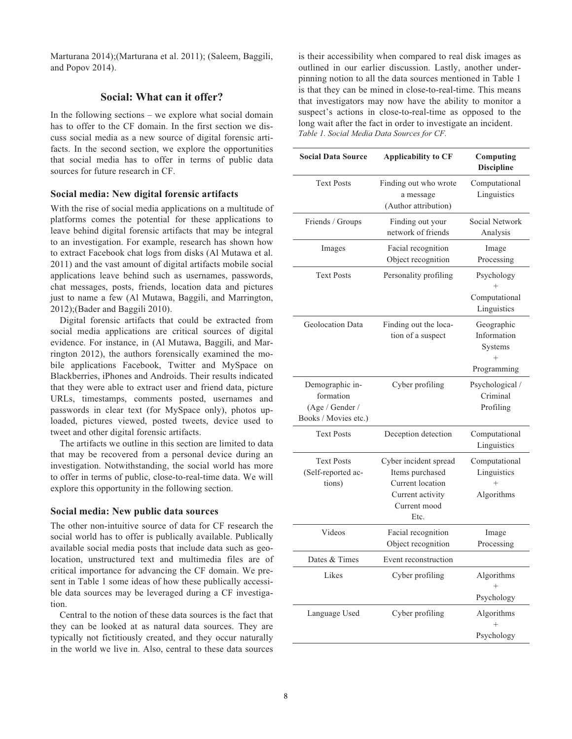Marturana 2014);(Marturana et al. 2011); (Saleem, Baggili, and Popov 2014).

## **Social: What can it offer?**

In the following sections – we explore what social domain has to offer to the CF domain. In the first section we discuss social media as a new source of digital forensic artifacts. In the second section, we explore the opportunities that social media has to offer in terms of public data sources for future research in CF.

#### **Social media: New digital forensic artifacts**

With the rise of social media applications on a multitude of platforms comes the potential for these applications to leave behind digital forensic artifacts that may be integral to an investigation. For example, research has shown how to extract Facebook chat logs from disks (Al Mutawa et al. 2011) and the vast amount of digital artifacts mobile social applications leave behind such as usernames, passwords, chat messages, posts, friends, location data and pictures just to name a few (Al Mutawa, Baggili, and Marrington, 2012);(Bader and Baggili 2010).

 Digital forensic artifacts that could be extracted from social media applications are critical sources of digital evidence. For instance, in (Al Mutawa, Baggili, and Marrington 2012), the authors forensically examined the mobile applications Facebook, Twitter and MySpace on Blackberries, iPhones and Androids. Their results indicated that they were able to extract user and friend data, picture URLs, timestamps, comments posted, usernames and passwords in clear text (for MySpace only), photos uploaded, pictures viewed, posted tweets, device used to tweet and other digital forensic artifacts.

 The artifacts we outline in this section are limited to data that may be recovered from a personal device during an investigation. Notwithstanding, the social world has more to offer in terms of public, close-to-real-time data. We will explore this opportunity in the following section.

#### **Social media: New public data sources**

The other non-intuitive source of data for CF research the social world has to offer is publically available. Publically available social media posts that include data such as geolocation, unstructured text and multimedia files are of critical importance for advancing the CF domain. We present in Table 1 some ideas of how these publically accessible data sources may be leveraged during a CF investigation.

 Central to the notion of these data sources is the fact that they can be looked at as natural data sources. They are typically not fictitiously created, and they occur naturally in the world we live in. Also, central to these data sources

is their accessibility when compared to real disk images as outlined in our earlier discussion. Lastly, another underpinning notion to all the data sources mentioned in Table 1 is that they can be mined in close-to-real-time. This means that investigators may now have the ability to monitor a suspect's actions in close-to-real-time as opposed to the long wait after the fact in order to investigate an incident. *Table 1. Social Media Data Sources for CF.* 

| <b>Social Data Source</b>                                               | <b>Applicability to CF</b>                                                                               | Computing<br><b>Discipline</b>                                |
|-------------------------------------------------------------------------|----------------------------------------------------------------------------------------------------------|---------------------------------------------------------------|
| <b>Text Posts</b>                                                       | Finding out who wrote<br>a message<br>(Author attribution)                                               | Computational<br>Linguistics                                  |
| Friends / Groups                                                        | Finding out your<br>network of friends                                                                   | Social Network<br>Analysis                                    |
| Images                                                                  | Facial recognition<br>Object recognition                                                                 | Image<br>Processing                                           |
| <b>Text Posts</b>                                                       | Personality profiling                                                                                    | Psychology<br>Computational<br>Linguistics                    |
| Geolocation Data                                                        | Finding out the loca-<br>tion of a suspect                                                               | Geographic<br>Information<br>Systems<br>$^{+}$<br>Programming |
| Demographic in-<br>formation<br>(Age / Gender /<br>Books / Movies etc.) | Cyber profiling                                                                                          | Psychological /<br>Criminal<br>Profiling                      |
| <b>Text Posts</b>                                                       | Deception detection                                                                                      | Computational<br>Linguistics                                  |
| <b>Text Posts</b><br>(Self-reported ac-<br>tions)                       | Cyber incident spread<br>Items purchased<br>Current location<br>Current activity<br>Current mood<br>Etc. | Computational<br>Linguistics<br>Algorithms                    |
| Videos                                                                  | Facial recognition<br>Object recognition                                                                 | Image<br>Processing                                           |
| Dates & Times                                                           | Event reconstruction                                                                                     |                                                               |
| Likes                                                                   | Cyber profiling                                                                                          | Algorithms<br>Psychology                                      |
| Language Used                                                           | Cyber profiling                                                                                          | Algorithms<br>$^{+}$<br>Psychology                            |